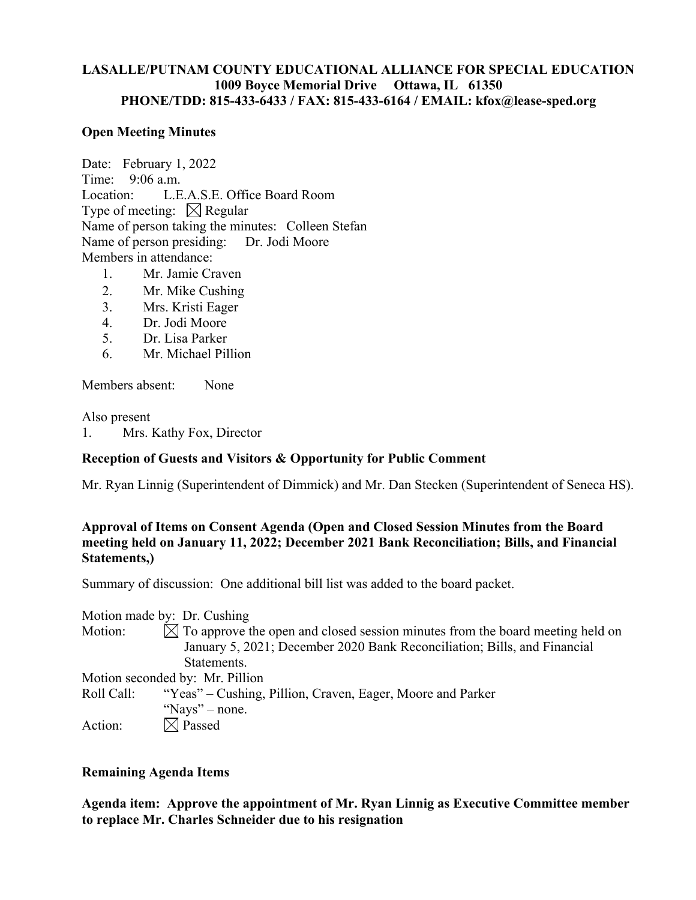## **LASALLE/PUTNAM COUNTY EDUCATIONAL ALLIANCE FOR SPECIAL EDUCATION 1009 Boyce Memorial Drive Ottawa, IL 61350 PHONE/TDD: 815-433-6433 / FAX: 815-433-6164 / EMAIL: kfox@lease-sped.org**

### **Open Meeting Minutes**

Date: February 1, 2022 Time: 9:06 a.m. Location: L.E.A.S.E. Office Board Room Type of meeting:  $\boxtimes$  Regular Name of person taking the minutes: Colleen Stefan Name of person presiding: Dr. Jodi Moore Members in attendance: 1. Mr. Jamie Craven

- 
- 2. Mr. Mike Cushing
- 3. Mrs. Kristi Eager
- 4. Dr. Jodi Moore
- 5. Dr. Lisa Parker
- 6. Mr. Michael Pillion

Members absent: None

Also present

1. Mrs. Kathy Fox, Director

#### **Reception of Guests and Visitors & Opportunity for Public Comment**

Mr. Ryan Linnig (Superintendent of Dimmick) and Mr. Dan Stecken (Superintendent of Seneca HS).

# **Approval of Items on Consent Agenda (Open and Closed Session Minutes from the Board meeting held on January 11, 2022; December 2021 Bank Reconciliation; Bills, and Financial Statements,)**

Summary of discussion: One additional bill list was added to the board packet.

Motion made by: Dr. Cushing

Motion:  $\boxtimes$  To approve the open and closed session minutes from the board meeting held on January 5, 2021; December 2020 Bank Reconciliation; Bills, and Financial Statements.

Motion seconded by: Mr. Pillion

Roll Call: "Yeas" – Cushing, Pillion, Craven, Eager, Moore and Parker "Nays" – none. Action:  $\boxtimes$  Passed

# **Remaining Agenda Items**

**Agenda item: Approve the appointment of Mr. Ryan Linnig as Executive Committee member to replace Mr. Charles Schneider due to his resignation**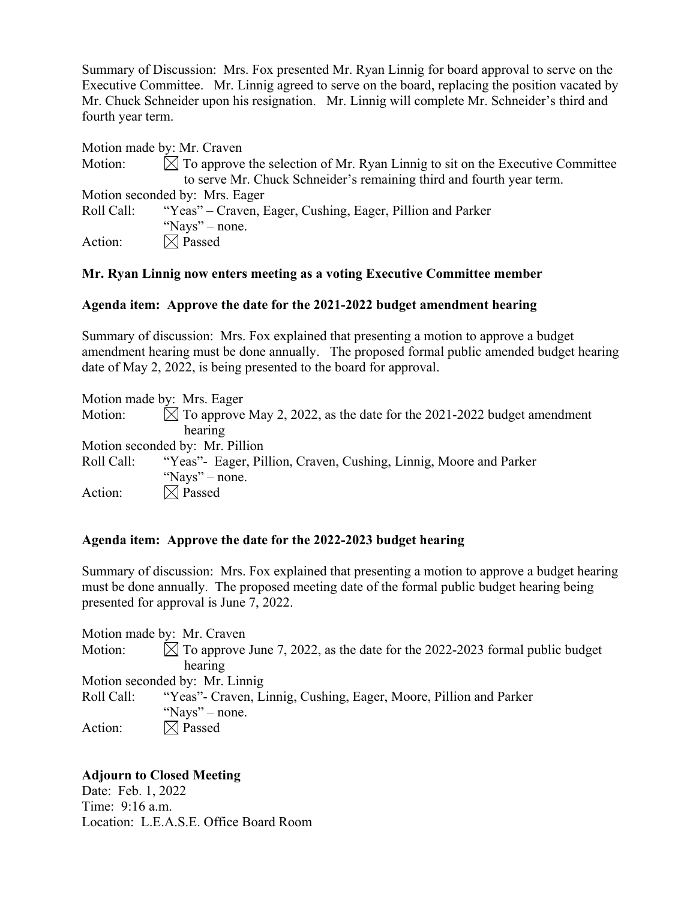Summary of Discussion: Mrs. Fox presented Mr. Ryan Linnig for board approval to serve on the Executive Committee. Mr. Linnig agreed to serve on the board, replacing the position vacated by Mr. Chuck Schneider upon his resignation. Mr. Linnig will complete Mr. Schneider's third and fourth year term.

|                                | Motion made by: Mr. Craven                                                                |
|--------------------------------|-------------------------------------------------------------------------------------------|
| Motion:                        | $\boxtimes$ To approve the selection of Mr. Ryan Linnig to sit on the Executive Committee |
|                                | to serve Mr. Chuck Schneider's remaining third and fourth year term.                      |
| Motion seconded by: Mrs. Eager |                                                                                           |
| Roll Call:                     | "Yeas" – Craven, Eager, Cushing, Eager, Pillion and Parker                                |
|                                | "Nays" – none.                                                                            |
| Action:                        | $\boxtimes$ Passed                                                                        |

## **Mr. Ryan Linnig now enters meeting as a voting Executive Committee member**

## **Agenda item: Approve the date for the 2021-2022 budget amendment hearing**

Summary of discussion: Mrs. Fox explained that presenting a motion to approve a budget amendment hearing must be done annually. The proposed formal public amended budget hearing date of May 2, 2022, is being presented to the board for approval.

Motion made by: Mrs. Eager Motion:  $\overline{\boxtimes}$  To approve May 2, 2022, as the date for the 2021-2022 budget amendment hearing Motion seconded by: Mr. Pillion Roll Call: "Yeas"- Eager, Pillion, Craven, Cushing, Linnig, Moore and Parker "Nays" – none. Action:  $\boxtimes$  Passed

# **Agenda item: Approve the date for the 2022-2023 budget hearing**

Summary of discussion: Mrs. Fox explained that presenting a motion to approve a budget hearing must be done annually. The proposed meeting date of the formal public budget hearing being presented for approval is June 7, 2022.

Motion made by: Mr. Craven Motion:  $\boxtimes$  To approve June 7, 2022, as the date for the 2022-2023 formal public budget hearing Motion seconded by: Mr. Linnig Roll Call: "Yeas"- Craven, Linnig, Cushing, Eager, Moore, Pillion and Parker "Nays" – none. Action:  $\boxtimes$  Passed

# **Adjourn to Closed Meeting**

Date: Feb. 1, 2022 Time: 9:16 a.m. Location: L.E.A.S.E. Office Board Room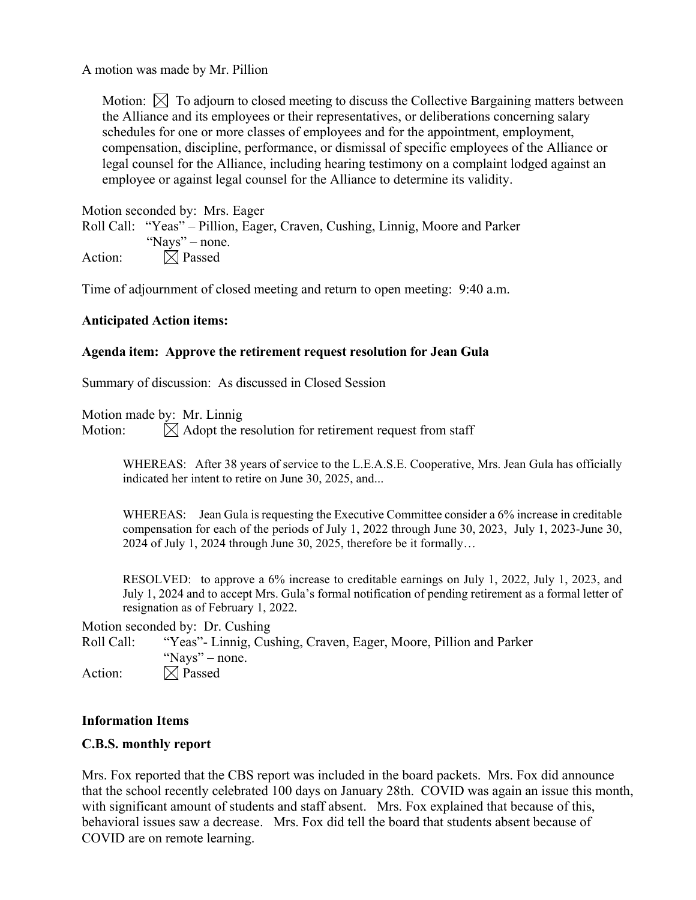A motion was made by Mr. Pillion

Motion:  $\boxtimes$  To adjourn to closed meeting to discuss the Collective Bargaining matters between the Alliance and its employees or their representatives, or deliberations concerning salary schedules for one or more classes of employees and for the appointment, employment, compensation, discipline, performance, or dismissal of specific employees of the Alliance or legal counsel for the Alliance, including hearing testimony on a complaint lodged against an employee or against legal counsel for the Alliance to determine its validity.

Motion seconded by: Mrs. Eager Roll Call: "Yeas" – Pillion, Eager, Craven, Cushing, Linnig, Moore and Parker "Nays" – none. Action:  $\boxtimes$  Passed

Time of adjournment of closed meeting and return to open meeting: 9:40 a.m.

#### **Anticipated Action items:**

#### **Agenda item: Approve the retirement request resolution for Jean Gula**

Summary of discussion: As discussed in Closed Session

Motion made by: Mr. Linnig

Motion:  $\overline{\bigotimes}$  Adopt the resolution for retirement request from staff

WHEREAS: After 38 years of service to the L.E.A.S.E. Cooperative, Mrs. Jean Gula has officially indicated her intent to retire on June 30, 2025, and...

WHEREAS: Jean Gula is requesting the Executive Committee consider a 6% increase in creditable compensation for each of the periods of July 1, 2022 through June 30, 2023, July 1, 2023-June 30, 2024 of July 1, 2024 through June 30, 2025, therefore be it formally…

RESOLVED: to approve a 6% increase to creditable earnings on July 1, 2022, July 1, 2023, and July 1, 2024 and to accept Mrs. Gula's formal notification of pending retirement as a formal letter of resignation as of February 1, 2022.

Motion seconded by: Dr. Cushing

Roll Call: "Yeas"- Linnig, Cushing, Craven, Eager, Moore, Pillion and Parker "Nays" – none. Action:  $\boxtimes$  Passed

#### **Information Items**

#### **C.B.S. monthly report**

Mrs. Fox reported that the CBS report was included in the board packets. Mrs. Fox did announce that the school recently celebrated 100 days on January 28th. COVID was again an issue this month, with significant amount of students and staff absent. Mrs. Fox explained that because of this, behavioral issues saw a decrease. Mrs. Fox did tell the board that students absent because of COVID are on remote learning.